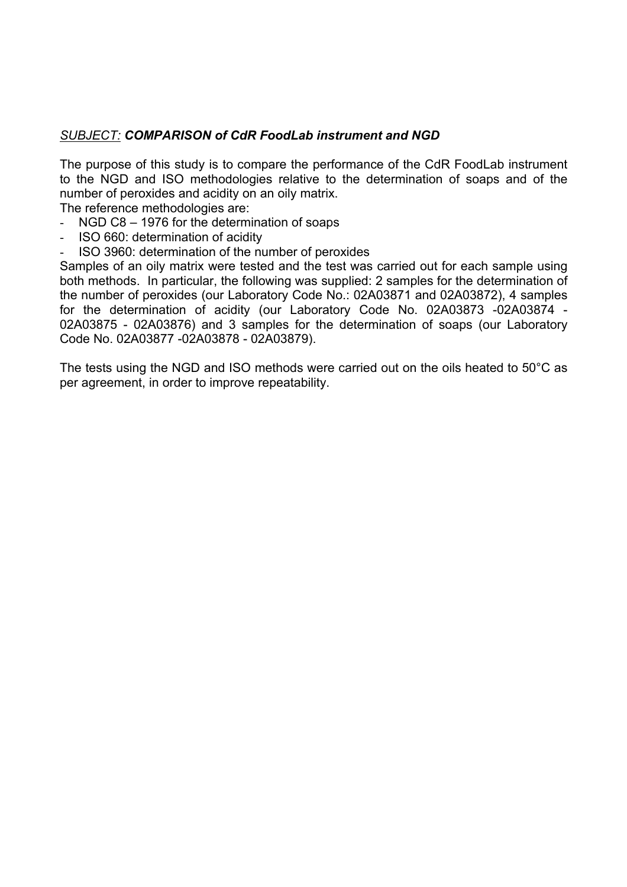## *SUBJECT: COMPARISON of CdR FoodLab instrument and NGD*

The purpose of this study is to compare the performance of the CdR FoodLab instrument to the NGD and ISO methodologies relative to the determination of soaps and of the number of peroxides and acidity on an oily matrix.

The reference methodologies are:

- NGD C8 1976 for the determination of soaps
- ISO 660: determination of acidity
- ISO 3960: determination of the number of peroxides

Samples of an oily matrix were tested and the test was carried out for each sample using both methods. In particular, the following was supplied: 2 samples for the determination of the number of peroxides (our Laboratory Code No.: 02A03871 and 02A03872), 4 samples for the determination of acidity (our Laboratory Code No. 02A03873 -02A03874 - 02A03875 - 02A03876) and 3 samples for the determination of soaps (our Laboratory Code No. 02A03877 -02A03878 - 02A03879).

The tests using the NGD and ISO methods were carried out on the oils heated to 50°C as per agreement, in order to improve repeatability.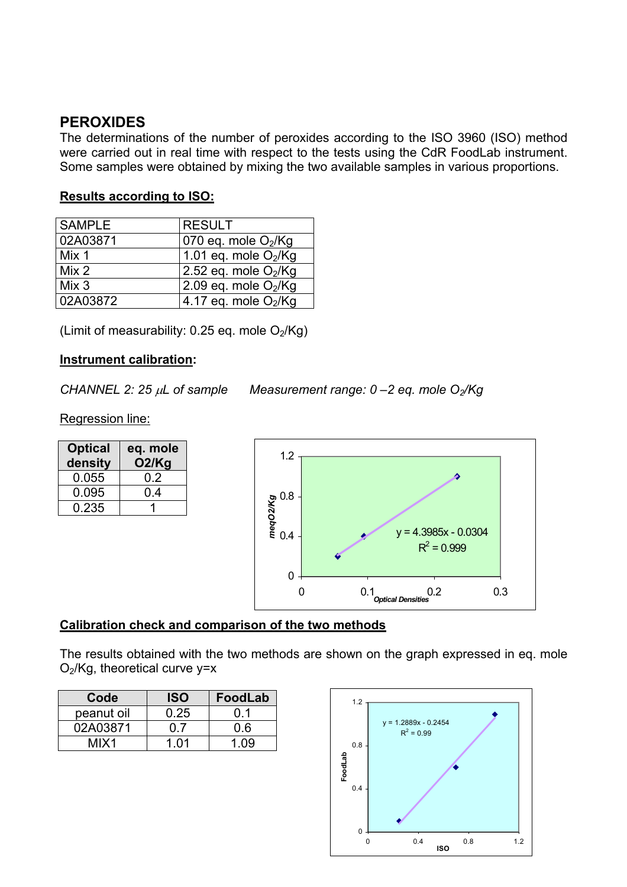# **PEROXIDES**

The determinations of the number of peroxides according to the ISO 3960 (ISO) method were carried out in real time with respect to the tests using the CdR FoodLab instrument. Some samples were obtained by mixing the two available samples in various proportions.

#### **Results according to ISO:**

| <b>SAMPLE</b> | <b>RESULT</b>          |
|---------------|------------------------|
| 02A03871      | 070 eq. mole $O2/Kg$   |
| Mix 1         | 1.01 eq. mole $O_2/Kg$ |
| Mix 2         | 2.52 eq. mole $O2/Kg$  |
| Mix 3         | 2.09 eq. mole $O2/Kg$  |
| 02A03872      | 4.17 eq. mole $O_2/Kg$ |

(Limit of measurability:  $0.25$  eq. mole  $O<sub>2</sub>/Kg$ )

#### **Instrument calibration:**

*CHANNEL 2: 25* µ*L of sample Measurement range: 0 –2 eq. mole O2/Kg* 

Regression line:

| <b>Optical</b><br>density | eq. mole<br>O2/Kg |
|---------------------------|-------------------|
| 0.055                     | 0.2               |
| 0.095                     | 0.4               |
| 0.235                     |                   |



## **Calibration check and comparison of the two methods**

The results obtained with the two methods are shown on the graph expressed in eq. mole  $O<sub>2</sub>/Kg$ , theoretical curve y=x

| Code       | <b>ISO</b> | <b>FoodLab</b> |
|------------|------------|----------------|
| peanut oil | 0.25       | ດ 1            |
| 02A03871   | 07         |                |
| MIX1       | 1 በ1       |                |

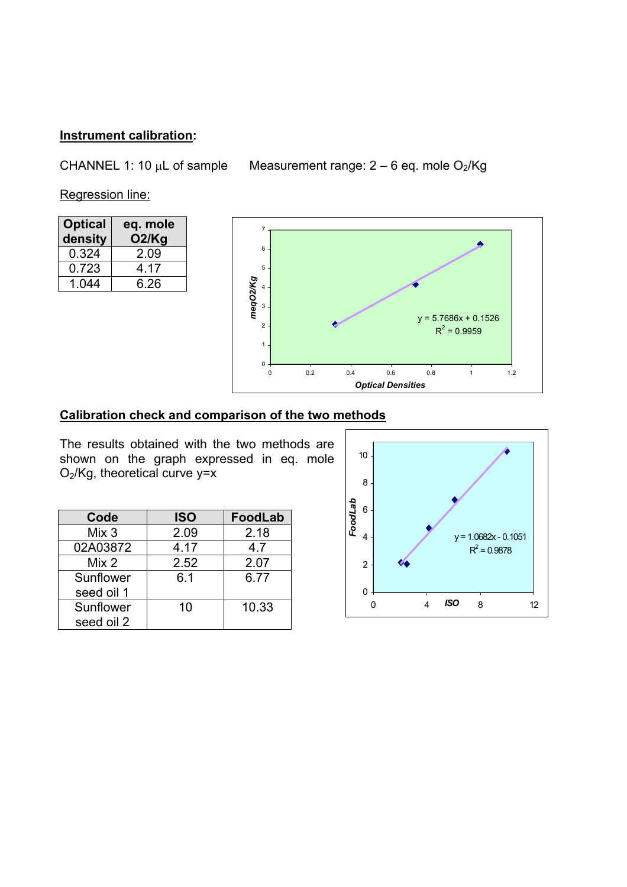# **Instrument calibration:**

CHANNEL 1: 10  $\mu$ L of sample Measurement range: 2 – 6 eq. mole O<sub>2</sub>/Kg

Regression line:

| <b>Optical</b><br>density | eq. mole<br>O2/Kg |
|---------------------------|-------------------|
| 0.324                     | 2.09              |
| 0.723                     | 4 17              |
| 1.044                     | 6.26              |



## **Calibration check and comparison of the two methods**

The results obtained with the two methods are shown on the graph expressed in eq. mole O2/Kg, theoretical curve y=x

| Code       | <b>ISO</b> | <b>FoodLab</b> |
|------------|------------|----------------|
| Mix 3      | 2.09       | 2.18           |
| 02A03872   | 4.17       | 4.7            |
| Mix 2      | 2.52       | 2.07           |
| Sunflower  | 6.1        | 6.77           |
| seed oil 1 |            |                |
| Sunflower  | 10         | 10.33          |
| seed oil 2 |            |                |